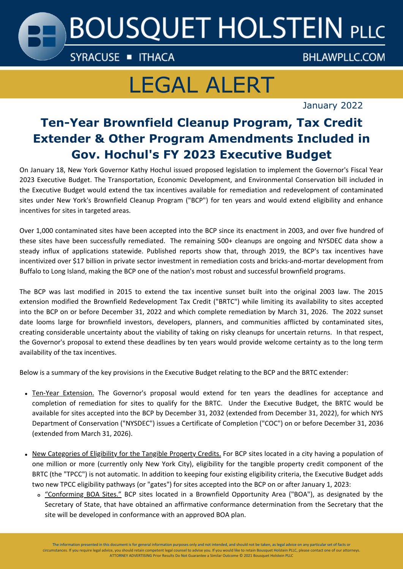# **BOUSQUET HOLSTEIN PLLC**

SYRACUSE THACA

**BHLAWPLLC.COM** 

## LEGAL ALERT

January 2022

### **Ten-Year Brownfield Cleanup Program, Tax Credit Extender & Other Program Amendments Included in Gov. Hochul's FY 2023 Executive Budget**

On January 18, New York Governor Kathy Hochul issued proposed legislation to implement the Governor's Fiscal Year 2023 Executive Budget. The Transportation, Economic Development, and Environmental Conservation bill included in the Executive Budget would extend the tax incentives available for remediation and redevelopment of contaminated sites under New York's Brownfield Cleanup Program ("BCP") for ten years and would extend eligibility and enhance incentives for sites in targeted areas.

Over 1,000 contaminated sites have been accepted into the BCP since its enactment in 2003, and over five hundred of these sites have been successfully remediated. The remaining 500+ cleanups are ongoing and NYSDEC data show a steady influx of applications statewide. Published reports show that, through 2019, the BCP's tax incentives have incentivized over \$17 billion in private sector investment in remediation costs and bricks-and-mortar development from Buffalo to Long Island, making the BCP one of the nation's most robust and successful brownfield programs.

The BCP was last modified in 2015 to extend the tax incentive sunset built into the original 2003 law. The 2015 extension modified the Brownfield Redevelopment Tax Credit ("BRTC") while limiting its availability to sites accepted into the BCP on or before December 31, 2022 and which complete remediation by March 31, 2026. The 2022 sunset date looms large for brownfield investors, developers, planners, and communities afflicted by contaminated sites, creating considerable uncertainty about the viability of taking on risky cleanups for uncertain returns. In that respect, the Governor's proposal to extend these deadlines by ten years would provide welcome certainty as to the long term availability of the tax incentives.

Below is a summary of the key provisions in the Executive Budget relating to the BCP and the BRTC extender:

- Ten-Year Extension. The Governor's proposal would extend for ten years the deadlines for acceptance and completion of remediation for sites to qualify for the BRTC. Under the Executive Budget, the BRTC would be available for sites accepted into the BCP by December 31, 2032 (extended from December 31, 2022), for which NYS Department of Conservation ("NYSDEC") issues a Certificate of Completion ("COC") on or before December 31, 2036 (extended from March 31, 2026).
- New Categories of Eligibility for the Tangible Property Credits. For BCP sites located in a city having a population of one million or more (currently only New York City), eligibility for the tangible property credit component of the BRTC (the "TPCC") is not automatic. In addition to keeping four existing eligibility criteria, the Executive Budget adds two new TPCC eligibility pathways (or "gates") for sites accepted into the BCP on or after January 1, 2023:
	- "Conforming BOA Sites." BCP sites located in a Brownfield Opportunity Area ("BOA"), as designated by the Secretary of State, that have obtained an affirmative conformance determination from the Secretary that the site will be developed in conformance with an approved BOA plan.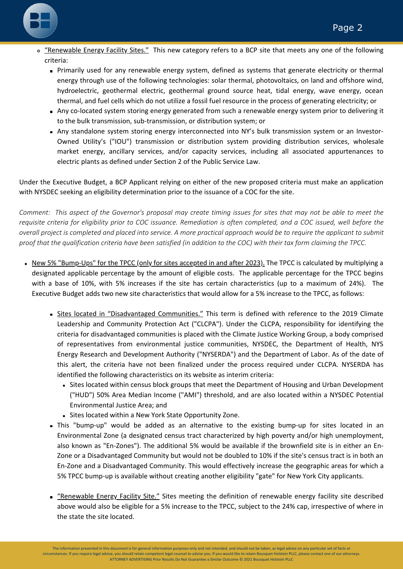

- o "Renewable Energy Facility Sites." This new category refers to a BCP site that meets any one of the following criteria:
	- Primarily used for any renewable energy system, defined as systems that generate electricity or thermal energy through use of the following technologies: solar thermal, photovoltaics, on land and offshore wind, hydroelectric, geothermal electric, geothermal ground source heat, tidal energy, wave energy, ocean thermal, and fuel cells which do not utilize a fossil fuel resource in the process of generating electricity; or
	- Any co-located system storing energy generated from such a renewable energy system prior to delivering it to the bulk transmission, sub-transmission, or distribution system; or
	- Any standalone system storing energy interconnected into NY's bulk transmission system or an Investor-Owned Utility's ("IOU") transmission or distribution system providing distribution services, wholesale market energy, ancillary services, and/or capacity services, including all associated appurtenances to electric plants as defined under Section 2 of the Public Service Law.

Under the Executive Budget, a BCP Applicant relying on either of the new proposed criteria must make an application with NYSDEC seeking an eligibility determination prior to the issuance of a COC for the site.

Comment: This aspect of the Governor's proposal may create timing issues for sites that may not be able to meet the requisite criteria for eligibility prior to COC issuance. Remediation is often completed, and a COC issued, well before the overall project is completed and placed into service. A more practical approach would be to require the applicant to submit proof that the qualification criteria have been satisfied (in addition to the COC) with their tax form claiming the TPCC.

- New 5% "Bump-Ups" for the TPCC (only for sites accepted in and after 2023). The TPCC is calculated by multiplying a designated applicable percentage by the amount of eligible costs. The applicable percentage for the TPCC begins with a base of 10%, with 5% increases if the site has certain characteristics (up to a maximum of 24%). The Executive Budget adds two new site characteristics that would allow for a 5% increase to the TPCC, as follows:
	- Sites located in "Disadvantaged Communities." This term is defined with reference to the 2019 Climate Leadership and Community Protection Act ("CLCPA"). Under the CLCPA, responsibility for identifying the criteria for disadvantaged communities is placed with the Climate Justice Working Group, a body comprised of representatives from environmental justice communities, NYSDEC, the Department of Health, NYS Energy Research and Development Authority ("NYSERDA") and the Department of Labor. As of the date of this alert, the criteria have not been finalized under the process required under CLCPA. NYSERDA has identified the following characteristics on its website as interim criteria:
		- Sites located within census block groups that meet the Department of Housing and Urban Development ("HUD") 50% Area Median Income ("AMI") threshold, and are also located within a NYSDEC Potential Environmental Justice Area; and
		- Sites located within a New York State Opportunity Zone.
	- This "bump-up" would be added as an alternative to the existing bump-up for sites located in an Environmental Zone (a designated census tract characterized by high poverty and/or high unemployment, also known as "En-Zones"). The additional 5% would be available if the brownfield site is in either an En-Zone or a Disadvantaged Community but would not be doubled to 10% if the site's census tract is in both an En-Zone and a Disadvantaged Community. This would effectively increase the geographic areas for which a 5% TPCC bump-up is available without creating another eligibility "gate" for New York City applicants.
	- " "Renewable Energy Facility Site." Sites meeting the definition of renewable energy facility site described above would also be eligible for a 5% increase to the TPCC, subject to the 24% cap, irrespective of where in the state the site located.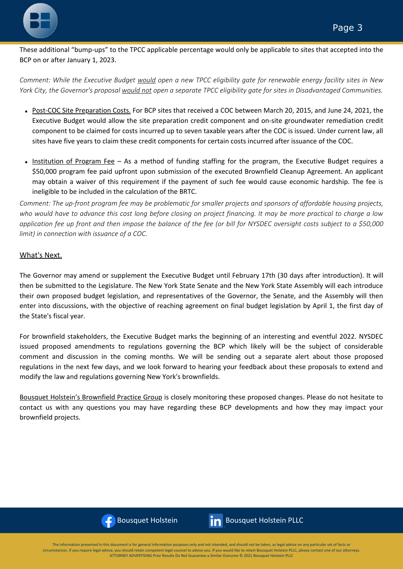

These additional "bump-ups" to the TPCC applicable percentage would only be applicable to sites that accepted into the BCP on or after January 1, 2023.

Comment: While the Executive Budget would open a new TPCC eligibility gate for renewable energy facility sites in New York City, the Governor's proposal would not open a separate TPCC eligibility gate for sites in Disadvantaged Communities.

- Post-COC Site Preparation Costs. For BCP sites that received a COC between March 20, 2015, and June 24, 2021, the Executive Budget would allow the site preparation credit component and on-site groundwater remediation credit component to be claimed for costs incurred up to seven taxable years after the COC is issued. Under current law, all sites have five years to claim these credit components for certain costs incurred after issuance of the COC.
- Institution of Program Fee As a method of funding staffing for the program, the Executive Budget requires a \$50,000 program fee paid upfront upon submission of the executed Brownfield Cleanup Agreement. An applicant may obtain a waiver of this requirement if the payment of such fee would cause economic hardship. The fee is ineligible to be included in the calculation of the BRTC.

Comment: The up-front program fee may be problematic for smaller projects and sponsors of affordable housing projects, who would have to advance this cost long before closing on project financing. It may be more practical to charge a low application fee up front and then impose the balance of the fee (or bill for NYSDEC oversight costs subject to a \$50,000 *limit) in connection with issuance of a COC.*

#### What's Next.

The Governor may amend or supplement the Executive Budget until February 17th (30 days after introduction). It will then be submitted to the Legislature. The New York State Senate and the New York State Assembly will each introduce their own proposed budget legislation, and representatives of the Governor, the Senate, and the Assembly will then enter into discussions, with the objective of reaching agreement on final budget legislation by April 1, the first day of the State's fiscal year.

For brownfield stakeholders, the Executive Budget marks the beginning of an interesting and eventful 2022. NYSDEC issued proposed amendments to regulations governing the BCP which likely will be the subject of considerable comment and discussion in the coming months. We will be sending out a separate alert about those proposed regulations in the next few days, and we look forward to hearing your feedback about these proposals to extend and modify the law and regulations governing New York's brownfields.

Bousquet Holstein's [Brownfield](https://www.bhlawpllc.com/practice-areas/brownfields/) Practice Group is closely monitoring these proposed changes. Please do not hesitate to contact us with any questions you may have regarding these BCP developments and how they may impact your brownfield projects.





 $B_{\rm eff}$   $\sim$  110  $\mu$   $\sim$  110  $\mu$   $\sim$  (315)  $\mu$   $\sim$  (315)  $\mu$   $\sim$  (315)  $\mu$ The information presented in this document is for general information purposes only and not intended, and should not be taken, as legal advice on any particular set of facts or circumstances. If you require legal advice, you should retain competent legal counsel to advise you. If you would like to retain Bousquet Holstein PLLC, please contact one of our attorneys. ATTORNEY ADVERTISING Prior Results Do Not Guarantee a Similar Outcome © 2021 Bousquet Holstein PLLC ATTORNEY ADVERTISING Prior Results Do Not Guarantee a Similar Outcome © 2021 Bousquet Holstein PLLC